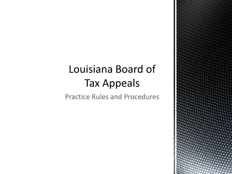## Louisiana Board of **Tax Appeals**

Practice Rules and Procedures

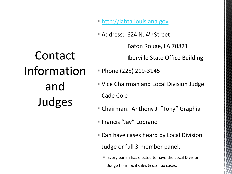- **[http://labta.louisiana.gov](http://labta.louisiana.gov/)**
- Address: 624 N. 4<sup>th</sup> Street

Baton Rouge, LA 70821

Iberville State Office Building

Contact Information and Judges

- Phone (225) 219-3145
- Vice Chairman and Local Division Judge: Cade Cole
- Chairman: Anthony J. "Tony" Graphia
- Francis "Jay" Lobrano
- **Can have cases heard by Local Division** Judge or full 3-member panel.
	- Every parish has elected to have the Local Division Judge hear local sales & use tax cases.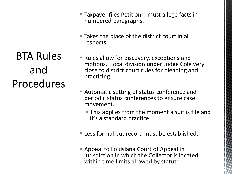**BTA Rules** and Procedures

- Taxpayer files Petition must allege facts in numbered paragraphs.
- Takes the place of the district court in all respects.
- Rules allow for discovery, exceptions and motions. Local division under Judge Cole very close to district court rules for pleading and practicing.
- Automatic setting of status conference and periodic status conferences to ensure case movement.
	- **This applies from the moment a suit is file and** it's a standard practice.
- **Less formal but record must be established.**
- Appeal to Louisiana Court of Appeal in jurisdiction in which the Collector is located within time limits allowed by statute.